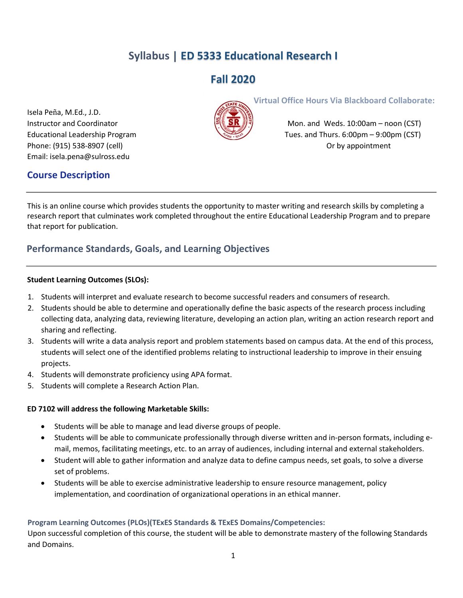# Syllabus | ED 5333 Educational Research I

# Fall 2020

Isela Peña, M.Ed., J.D. Phone: (915) 538-8907 (cell) **Phone: (915) 538-8907** (cell) Email: isela.pena@sulross.edu

# Course Description

Virtual Office Hours Via Blackboard Collaborate:



Instructor and Coordinator Mone Mone Mone and Weds. 10:00am – noon (CST) Educational Leadership Program Tues. and Thurs. 6:00pm – 9:00pm (CST)

This is an online course which provides students the opportunity to master writing and research skills by completing a research report that culminates work completed throughout the entire Educational Leadership Program and to prepare that report for publication.

# Performance Standards, Goals, and Learning Objectives

#### Student Learning Outcomes (SLOs):

- 1. Students will interpret and evaluate research to become successful readers and consumers of research.
- 2. Students should be able to determine and operationally define the basic aspects of the research process including collecting data, analyzing data, reviewing literature, developing an action plan, writing an action research report and sharing and reflecting.
- 3. Students will write a data analysis report and problem statements based on campus data. At the end of this process, students will select one of the identified problems relating to instructional leadership to improve in their ensuing projects.
- 4. Students will demonstrate proficiency using APA format.
- 5. Students will complete a Research Action Plan.

#### ED 7102 will address the following Marketable Skills:

- Students will be able to manage and lead diverse groups of people.
- Students will be able to communicate professionally through diverse written and in-person formats, including email, memos, facilitating meetings, etc. to an array of audiences, including internal and external stakeholders.
- Student will able to gather information and analyze data to define campus needs, set goals, to solve a diverse set of problems.
- Students will be able to exercise administrative leadership to ensure resource management, policy implementation, and coordination of organizational operations in an ethical manner.

### Program Learning Outcomes (PLOs)(TExES Standards & TExES Domains/Competencies:

Upon successful completion of this course, the student will be able to demonstrate mastery of the following Standards and Domains.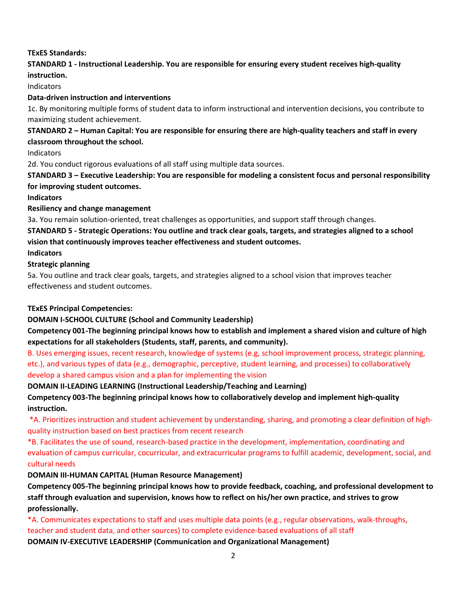### TExES Standards:

# STANDARD 1 - Instructional Leadership. You are responsible for ensuring every student receives high-quality

instruction.

Indicators

### Data-driven instruction and interventions

1c. By monitoring multiple forms of student data to inform instructional and intervention decisions, you contribute to maximizing student achievement.

### STANDARD 2 – Human Capital: You are responsible for ensuring there are high-quality teachers and staff in every classroom throughout the school.

Indicators

2d. You conduct rigorous evaluations of all staff using multiple data sources.

STANDARD 3 – Executive Leadership: You are responsible for modeling a consistent focus and personal responsibility for improving student outcomes.

**Indicators** 

#### Resiliency and change management

3a. You remain solution-oriented, treat challenges as opportunities, and support staff through changes.

STANDARD 5 - Strategic Operations: You outline and track clear goals, targets, and strategies aligned to a school vision that continuously improves teacher effectiveness and student outcomes.

Indicators

### Strategic planning

5a. You outline and track clear goals, targets, and strategies aligned to a school vision that improves teacher effectiveness and student outcomes.

### TExES Principal Competencies:

DOMAIN I-SCHOOL CULTURE (School and Community Leadership)

Competency 001-The beginning principal knows how to establish and implement a shared vision and culture of high expectations for all stakeholders (Students, staff, parents, and community).

B. Uses emerging issues, recent research, knowledge of systems (e.g, school improvement process, strategic planning, etc.), and various types of data (e.g., demographic, perceptive, student learning, and processes) to collaboratively develop a shared campus vision and a plan for implementing the vision

DOMAIN II-LEADING LEARNING (Instructional Leadership/Teaching and Learning)

Competency 003-The beginning principal knows how to collaboratively develop and implement high-quality instruction.

 \*A. Prioritizes instruction and student achievement by understanding, sharing, and promoting a clear definition of highquality instruction based on best practices from recent research

\*B. Facilitates the use of sound, research-based practice in the development, implementation, coordinating and evaluation of campus curricular, cocurricular, and extracurricular programs to fulfill academic, development, social, and cultural needs

DOMAIN III-HUMAN CAPITAL (Human Resource Management)

Competency 005-The beginning principal knows how to provide feedback, coaching, and professional development to staff through evaluation and supervision, knows how to reflect on his/her own practice, and strives to grow professionally.

\*A. Communicates expectations to staff and uses multiple data points (e.g., regular observations, walk-throughs, teacher and student data, and other sources) to complete evidence-based evaluations of all staff

DOMAIN IV-EXECUTIVE LEADERSHIP (Communication and Organizational Management)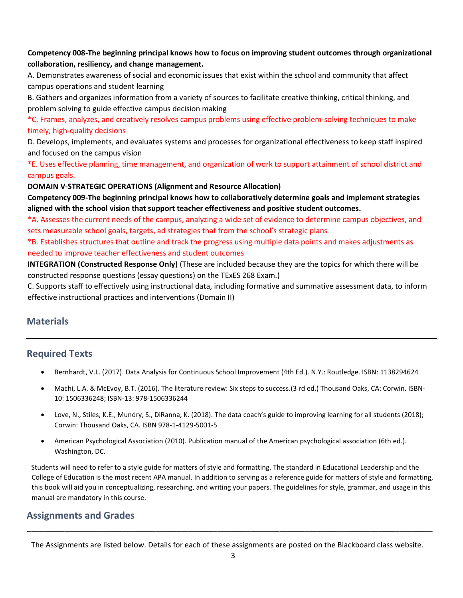### Competency 008-The beginning principal knows how to focus on improving student outcomes through organizational collaboration, resiliency, and change management.

A. Demonstrates awareness of social and economic issues that exist within the school and community that affect campus operations and student learning

B. Gathers and organizes information from a variety of sources to facilitate creative thinking, critical thinking, and problem solving to guide effective campus decision making

\*C. Frames, analyzes, and creatively resolves campus problems using effective problem-solving techniques to make timely, high-quality decisions

D. Develops, implements, and evaluates systems and processes for organizational effectiveness to keep staff inspired and focused on the campus vision

\*E. Uses effective planning, time management, and organization of work to support attainment of school district and campus goals.

DOMAIN V-STRATEGIC OPERATIONS (Alignment and Resource Allocation)

Competency 009-The beginning principal knows how to collaboratively determine goals and implement strategies aligned with the school vision that support teacher effectiveness and positive student outcomes.

\*A. Assesses the current needs of the campus, analyzing a wide set of evidence to determine campus objectives, and sets measurable school goals, targets, ad strategies that from the school's strategic plans

\*B. Establishes structures that outline and track the progress using multiple data points and makes adjustments as needed to improve teacher effectiveness and student outcomes

INTEGRATION (Constructed Response Only) (These are included because they are the topics for which there will be constructed response questions (essay questions) on the TExES 268 Exam.)

C. Supports staff to effectively using instructional data, including formative and summative assessment data, to inform effective instructional practices and interventions (Domain II)

# **Materials**

### Required Texts

- Bernhardt, V.L. (2017). Data Analysis for Continuous School Improvement (4th Ed.). N.Y.: Routledge. ISBN: 1138294624
- Machi, L.A. & McEvoy, B.T. (2016). The literature review: Six steps to success.(3 rd ed.) Thousand Oaks, CA: Corwin. ISBN-10: 1506336248; ISBN-13: 978-1506336244
- Love, N., Stiles, K.E., Mundry, S., DiRanna, K. (2018). The data coach's guide to improving learning for all students (2018); Corwin: Thousand Oaks, CA. ISBN 978-1-4129-5001-5
- American Psychological Association (2010). Publication manual of the American psychological association (6th ed.). Washington, DC.

Students will need to refer to a style guide for matters of style and formatting. The standard in Educational Leadership and the College of Education is the most recent APA manual. In addition to serving as a reference guide for matters of style and formatting, this book will aid you in conceptualizing, researching, and writing your papers. The guidelines for style, grammar, and usage in this manual are mandatory in this course.

### Assignments and Grades

The Assignments are listed below. Details for each of these assignments are posted on the Blackboard class website.

\_\_\_\_\_\_\_\_\_\_\_\_\_\_\_\_\_\_\_\_\_\_\_\_\_\_\_\_\_\_\_\_\_\_\_\_\_\_\_\_\_\_\_\_\_\_\_\_\_\_\_\_\_\_\_\_\_\_\_\_\_\_\_\_\_\_\_\_\_\_\_\_\_\_\_\_\_\_\_\_\_\_\_\_\_\_\_\_\_\_\_\_\_\_\_\_\_\_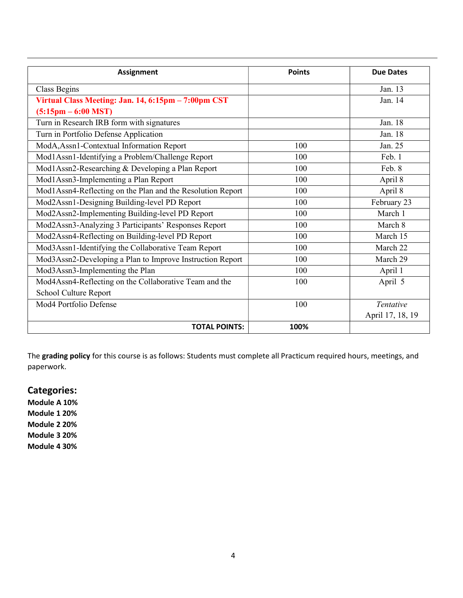| <b>Assignment</b>                                          | <b>Points</b> | <b>Due Dates</b> |
|------------------------------------------------------------|---------------|------------------|
| Class Begins                                               |               | Jan. 13          |
| Virtual Class Meeting: Jan. 14, 6:15pm - 7:00pm CST        |               | Jan. 14          |
| $(5:15pm - 6:00$ MST)                                      |               |                  |
| Turn in Research IRB form with signatures                  |               | Jan. 18          |
| Turn in Portfolio Defense Application                      |               | Jan. 18          |
| ModA, Assn1-Contextual Information Report                  | 100           | Jan. 25          |
| Mod1Assn1-Identifying a Problem/Challenge Report           | 100           | Feb. 1           |
| Mod1Assn2-Researching & Developing a Plan Report           | 100           | Feb. 8           |
| Mod1Assn3-Implementing a Plan Report                       | 100           | April 8          |
| Mod1Assn4-Reflecting on the Plan and the Resolution Report | 100           | April 8          |
| Mod2Assn1-Designing Building-level PD Report               | 100           | February 23      |
| Mod2Assn2-Implementing Building-level PD Report            | 100           | March 1          |
| Mod2Assn3-Analyzing 3 Participants' Responses Report       | 100           | March 8          |
| Mod2Assn4-Reflecting on Building-level PD Report           | 100           | March 15         |
| Mod3Assn1-Identifying the Collaborative Team Report        | 100           | March 22         |
| Mod3Assn2-Developing a Plan to Improve Instruction Report  | 100           | March 29         |
| Mod3Assn3-Implementing the Plan                            | 100           | April 1          |
| Mod4Assn4-Reflecting on the Collaborative Team and the     | 100           | April 5          |
| School Culture Report                                      |               |                  |
| Mod4 Portfolio Defense                                     | 100           | <b>Tentative</b> |
|                                                            |               | April 17, 18, 19 |
| <b>TOTAL POINTS:</b>                                       | 100%          |                  |

The grading policy for this course is as follows: Students must complete all Practicum required hours, meetings, and paperwork.

# Categories:

Module A 10% Module 1 20% Module 2 20% Module 3 20%

Module 4 30%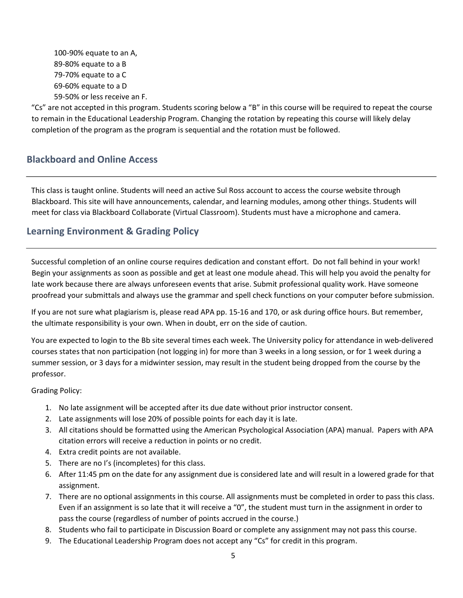100-90% equate to an A, 89-80% equate to a B 79-70% equate to a C 69-60% equate to a D 59-50% or less receive an F.

"Cs" are not accepted in this program. Students scoring below a "B" in this course will be required to repeat the course to remain in the Educational Leadership Program. Changing the rotation by repeating this course will likely delay completion of the program as the program is sequential and the rotation must be followed.

# Blackboard and Online Access

This class is taught online. Students will need an active Sul Ross account to access the course website through Blackboard. This site will have announcements, calendar, and learning modules, among other things. Students will meet for class via Blackboard Collaborate (Virtual Classroom). Students must have a microphone and camera.

# Learning Environment & Grading Policy

Successful completion of an online course requires dedication and constant effort. Do not fall behind in your work! Begin your assignments as soon as possible and get at least one module ahead. This will help you avoid the penalty for late work because there are always unforeseen events that arise. Submit professional quality work. Have someone proofread your submittals and always use the grammar and spell check functions on your computer before submission.

If you are not sure what plagiarism is, please read APA pp. 15-16 and 170, or ask during office hours. But remember, the ultimate responsibility is your own. When in doubt, err on the side of caution.

You are expected to login to the Bb site several times each week. The University policy for attendance in web-delivered courses states that non participation (not logging in) for more than 3 weeks in a long session, or for 1 week during a summer session, or 3 days for a midwinter session, may result in the student being dropped from the course by the professor.

Grading Policy:

- 1. No late assignment will be accepted after its due date without prior instructor consent.
- 2. Late assignments will lose 20% of possible points for each day it is late.
- 3. All citations should be formatted using the American Psychological Association (APA) manual. Papers with APA citation errors will receive a reduction in points or no credit.
- 4. Extra credit points are not available.
- 5. There are no I's (incompletes) for this class.
- 6. After 11:45 pm on the date for any assignment due is considered late and will result in a lowered grade for that assignment.
- 7. There are no optional assignments in this course. All assignments must be completed in order to pass this class. Even if an assignment is so late that it will receive a "0", the student must turn in the assignment in order to pass the course (regardless of number of points accrued in the course.)
- 8. Students who fail to participate in Discussion Board or complete any assignment may not pass this course.
- 9. The Educational Leadership Program does not accept any "Cs" for credit in this program.